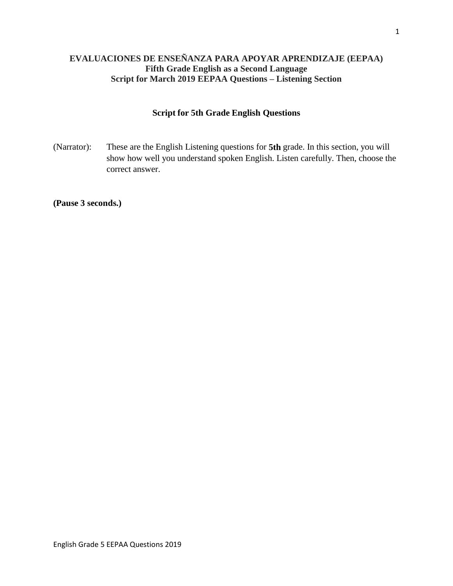# **EVALUACIONES DE ENSEÑANZA PARA APOYAR APRENDIZAJE (EEPAA) Fifth Grade English as a Second Language Script for March 2019 EEPAA Questions – Listening Section**

## **Script for 5th Grade English Questions**

(Narrator): These are the English Listening questions for **5th** grade. In this section, you will show how well you understand spoken English. Listen carefully. Then, choose the correct answer.

**(Pause 3 seconds.)**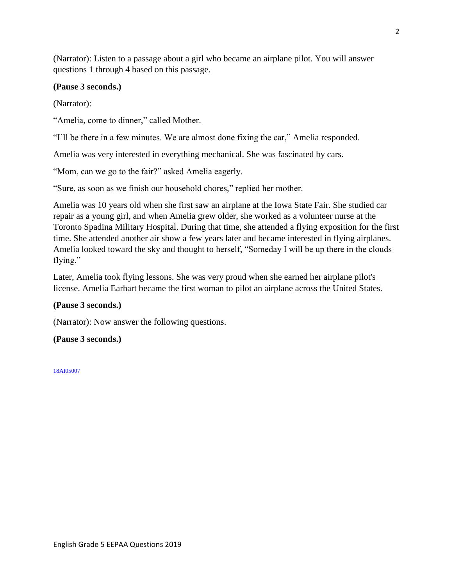(Narrator): Listen to a passage about a girl who became an airplane pilot. You will answer questions 1 through 4 based on this passage.

## **(Pause 3 seconds.)**

(Narrator):

"Amelia, come to dinner," called Mother.

"I'll be there in a few minutes. We are almost done fixing the car," Amelia responded.

Amelia was very interested in everything mechanical. She was fascinated by cars.

"Mom, can we go to the fair?" asked Amelia eagerly.

"Sure, as soon as we finish our household chores," replied her mother.

Amelia was 10 years old when she first saw an airplane at the Iowa State Fair. She studied car repair as a young girl, and when Amelia grew older, she worked as a volunteer nurse at the Toronto Spadina Military Hospital. During that time, she attended a flying exposition for the first time. She attended another air show a few years later and became interested in flying airplanes. Amelia looked toward the sky and thought to herself, "Someday I will be up there in the clouds flying."

Later, Amelia took flying lessons. She was very proud when she earned her airplane pilot's license. Amelia Earhart became the first woman to pilot an airplane across the United States.

## **(Pause 3 seconds.)**

(Narrator): Now answer the following questions.

## **(Pause 3 seconds.)**

18AI05007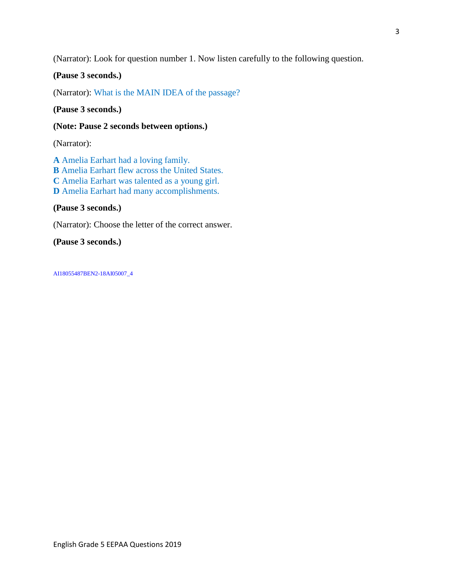(Narrator): Look for question number 1. Now listen carefully to the following question.

**(Pause 3 seconds.)**

(Narrator): What is the MAIN IDEA of the passage?

**(Pause 3 seconds.)**

**(Note: Pause 2 seconds between options.)**

(Narrator):

**A** Amelia Earhart had a loving family. **B** Amelia Earhart flew across the United States. **C** Amelia Earhart was talented as a young girl. **D** Amelia Earhart had many accomplishments.

**(Pause 3 seconds.)**

(Narrator): Choose the letter of the correct answer.

**(Pause 3 seconds.)**

AI18055487BEN2-18AI05007\_4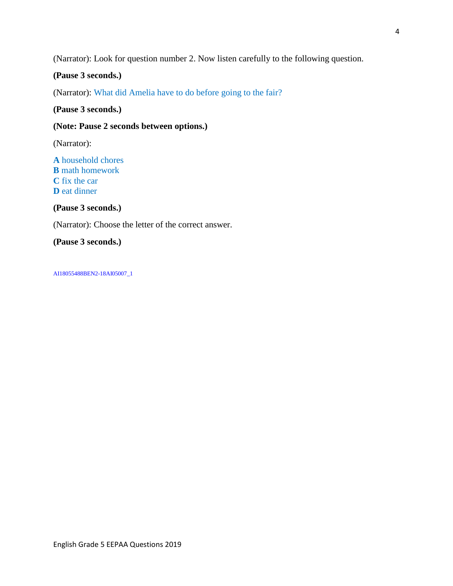(Narrator): Look for question number 2. Now listen carefully to the following question.

## **(Pause 3 seconds.)**

(Narrator): What did Amelia have to do before going to the fair?

#### **(Pause 3 seconds.)**

#### **(Note: Pause 2 seconds between options.)**

(Narrator):

**A** household chores **B** math homework **C** fix the car **D** eat dinner

**(Pause 3 seconds.)**

(Narrator): Choose the letter of the correct answer.

**(Pause 3 seconds.)**

AI18055488BEN2-18AI05007\_1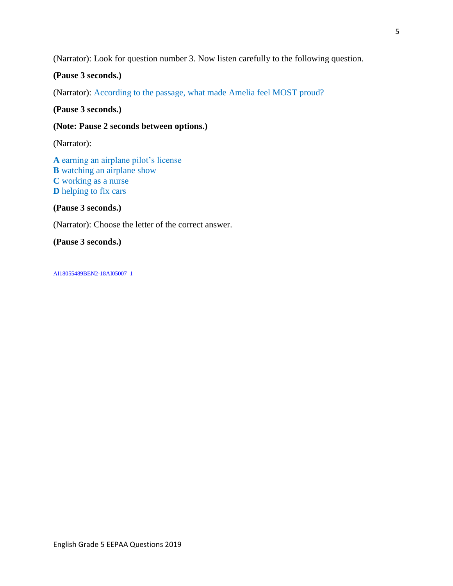(Narrator): Look for question number 3. Now listen carefully to the following question.

## **(Pause 3 seconds.)**

(Narrator): According to the passage, what made Amelia feel MOST proud?

**(Pause 3 seconds.)**

#### **(Note: Pause 2 seconds between options.)**

(Narrator):

**A** earning an airplane pilot's license **B** watching an airplane show **C** working as a nurse **D** helping to fix cars

**(Pause 3 seconds.)**

(Narrator): Choose the letter of the correct answer.

**(Pause 3 seconds.)**

AI18055489BEN2-18AI05007\_1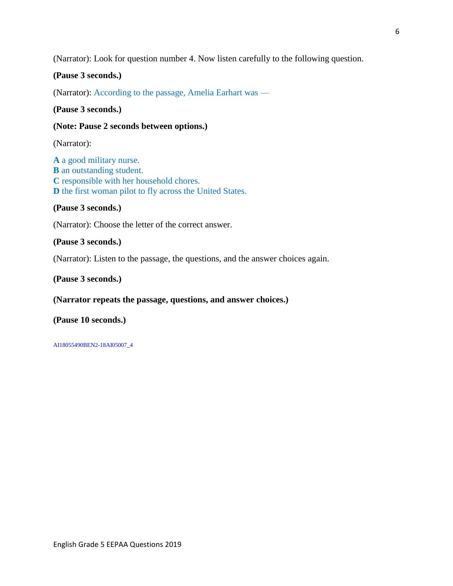(Narrator): Look for question number 4. Now listen carefully to the following question.

## **(Pause 3 seconds.)**

(Narrator): According to the passage, Amelia Earhart was —

#### **(Pause 3 seconds.)**

#### **(Note: Pause 2 seconds between options.)**

(Narrator):

**A** a good military nurse. **B** an outstanding student. **C** responsible with her household chores. **D** the first woman pilot to fly across the United States.

#### **(Pause 3 seconds.)**

(Narrator): Choose the letter of the correct answer.

### **(Pause 3 seconds.)**

(Narrator): Listen to the passage, the questions, and the answer choices again.

#### **(Pause 3 seconds.)**

## **(Narrator repeats the passage, questions, and answer choices.)**

#### **(Pause 10 seconds.)**

AI18055490BEN2-18AI05007\_4